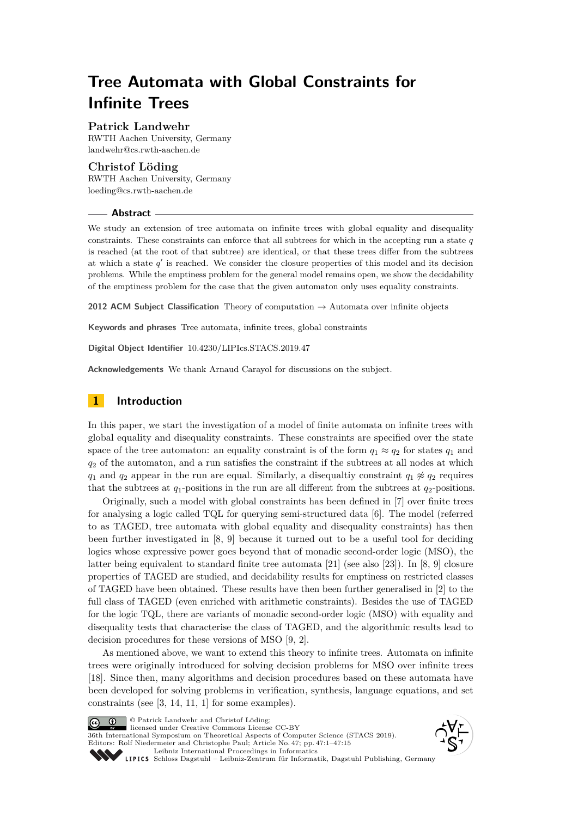# **Tree Automata with Global Constraints for Infinite Trees**

## **Patrick Landwehr**

RWTH Aachen University, Germany [landwehr@cs.rwth-aachen.de](mailto:landwehr@cs.rwth-aachen.de)

## **Christof Löding**

RWTH Aachen University, Germany [loeding@cs.rwth-aachen.de](mailto:loeding@cs.rwth-aachen.de)

#### **Abstract**

We study an extension of tree automata on infinite trees with global equality and disequality constraints. These constraints can enforce that all subtrees for which in the accepting run a state  $q$ is reached (at the root of that subtree) are identical, or that these trees differ from the subtrees at which a state  $q'$  is reached. We consider the closure properties of this model and its decision problems. While the emptiness problem for the general model remains open, we show the decidability of the emptiness problem for the case that the given automaton only uses equality constraints.

**2012 ACM Subject Classification** Theory of computation → Automata over infinite objects

**Keywords and phrases** Tree automata, infinite trees, global constraints

**Digital Object Identifier** [10.4230/LIPIcs.STACS.2019.47](https://doi.org/10.4230/LIPIcs.STACS.2019.47)

**Acknowledgements** We thank Arnaud Carayol for discussions on the subject.

# **1 Introduction**

In this paper, we start the investigation of a model of finite automata on infinite trees with global equality and disequality constraints. These constraints are specified over the state space of the tree automaton: an equality constraint is of the form  $q_1 \approx q_2$  for states  $q_1$  and *q*<sup>2</sup> of the automaton, and a run satisfies the constraint if the subtrees at all nodes at which *q*<sub>1</sub> and *q*<sub>2</sub> appear in the run are equal. Similarly, a disequaltiy constraint  $q_1 \not\approx q_2$  requires that the subtrees at  $q_1$ -positions in the run are all different from the subtrees at  $q_2$ -positions.

Originally, such a model with global constraints has been defined in [\[7\]](#page-13-0) over finite trees for analysing a logic called TQL for querying semi-structured data [\[6\]](#page-13-1). The model (referred to as TAGED, tree automata with global equality and disequality constraints) has then been further investigated in [\[8,](#page-13-2) [9\]](#page-13-3) because it turned out to be a useful tool for deciding logics whose expressive power goes beyond that of monadic second-order logic (MSO), the latter being equivalent to standard finite tree automata [\[21\]](#page-14-0) (see also [\[23\]](#page-14-1)). In [\[8,](#page-13-2) [9\]](#page-13-3) closure properties of TAGED are studied, and decidability results for emptiness on restricted classes of TAGED have been obtained. These results have then been further generalised in [\[2\]](#page-12-0) to the full class of TAGED (even enriched with arithmetic constraints). Besides the use of TAGED for the logic TQL, there are variants of monadic second-order logic (MSO) with equality and disequality tests that characterise the class of TAGED, and the algorithmic results lead to decision procedures for these versions of MSO [\[9,](#page-13-3) [2\]](#page-12-0).

As mentioned above, we want to extend this theory to infinite trees. Automata on infinite trees were originally introduced for solving decision problems for MSO over infinite trees [\[18\]](#page-13-4). Since then, many algorithms and decision procedures based on these automata have been developed for solving problems in verification, synthesis, language equations, and set constraints (see [\[3,](#page-13-5) [14,](#page-13-6) [11,](#page-13-7) [1\]](#page-12-1) for some examples).



© Patrick Landwehr and Christof Löding;  $\boxed{6}$  0 licensed under Creative Commons License CC-BY

36th International Symposium on Theoretical Aspects of Computer Science (STACS 2019). Editors: Rolf Niedermeier and Christophe Paul; Article No. 47; pp. 47:1–47[:15](#page-14-2) [Leibniz International Proceedings in Informatics](https://www.dagstuhl.de/lipics/)



Leibniz international Froceedings in missimosische Publishing, Germany<br>LIPICS [Schloss Dagstuhl – Leibniz-Zentrum für Informatik, Dagstuhl Publishing, Germany](https://www.dagstuhl.de)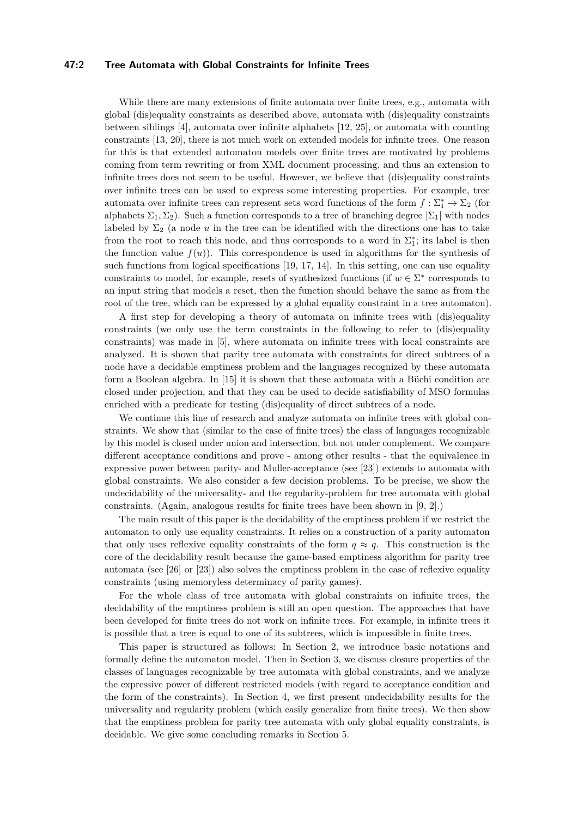## **47:2 Tree Automata with Global Constraints for Infinite Trees**

While there are many extensions of finite automata over finite trees, e.g., automata with global (dis)equality constraints as described above, automata with (dis)equality constraints between siblings [\[4\]](#page-13-8), automata over infinite alphabets [\[12,](#page-13-9) [25\]](#page-14-3), or automata with counting constraints [\[13,](#page-13-10) [20\]](#page-14-4), there is not much work on extended models for infinite trees. One reason for this is that extended automaton models over finite trees are motivated by problems coming from term rewriting or from XML document processing, and thus an extension to infinite trees does not seem to be useful. However, we believe that (dis)equality constraints over infinite trees can be used to express some interesting properties. For example, tree automata over infinite trees can represent sets word functions of the form  $f: \Sigma_1^* \to \Sigma_2$  (for alphabets  $\Sigma_1, \Sigma_2$ ). Such a function corresponds to a tree of branching degree  $|\Sigma_1|$  with nodes labeled by  $\Sigma_2$  (a node *u* in the tree can be identified with the directions one has to take from the root to reach this node, and thus corresponds to a word in  $\Sigma_1^*$ ; its label is then the function value  $f(u)$ ). This correspondence is used in algorithms for the synthesis of such functions from logical specifications [\[19,](#page-14-5) [17,](#page-13-11) [14\]](#page-13-6). In this setting, one can use equality constraints to model, for example, resets of synthesized functions (if  $w \in \Sigma^*$  corresponds to an input string that models a reset, then the function should behave the same as from the root of the tree, which can be expressed by a global equality constraint in a tree automaton).

A first step for developing a theory of automata on infinite trees with (dis)equality constraints (we only use the term constraints in the following to refer to (dis)equality constraints) was made in [\[5\]](#page-13-12), where automata on infinite trees with local constraints are analyzed. It is shown that parity tree automata with constraints for direct subtrees of a node have a decidable emptiness problem and the languages recognized by these automata form a Boolean algebra. In [\[15\]](#page-13-13) it is shown that these automata with a Büchi condition are closed under projection, and that they can be used to decide satisfiability of MSO formulas enriched with a predicate for testing (dis)equality of direct subtrees of a node.

We continue this line of research and analyze automata on infinite trees with global constraints. We show that (similar to the case of finite trees) the class of languages recognizable by this model is closed under union and intersection, but not under complement. We compare different acceptance conditions and prove - among other results - that the equivalence in expressive power between parity- and Muller-acceptance (see [\[23\]](#page-14-1)) extends to automata with global constraints. We also consider a few decision problems. To be precise, we show the undecidability of the universality- and the regularity-problem for tree automata with global constraints. (Again, analogous results for finite trees have been shown in [\[9,](#page-13-3) [2\]](#page-12-0).)

The main result of this paper is the decidability of the emptiness problem if we restrict the automaton to only use equality constraints. It relies on a construction of a parity automaton that only uses reflexive equality constraints of the form  $q \approx q$ . This construction is the core of the decidability result because the game-based emptiness algorithm for parity tree automata (see [\[26\]](#page-14-6) or [\[23\]](#page-14-1)) also solves the emptiness problem in the case of reflexive equality constraints (using memoryless determinacy of parity games).

For the whole class of tree automata with global constraints on infinite trees, the decidability of the emptiness problem is still an open question. The approaches that have been developed for finite trees do not work on infinite trees. For example, in infinite trees it is possible that a tree is equal to one of its subtrees, which is impossible in finite trees.

This paper is structured as follows: In Section [2,](#page-2-0) we introduce basic notations and formally define the automaton model. Then in Section [3,](#page-5-0) we discuss closure properties of the classes of languages recognizable by tree automata with global constraints, and we analyze the expressive power of different restricted models (with regard to acceptance condition and the form of the constraints). In Section [4,](#page-7-0) we first present undecidability results for the universality and regularity problem (which easily generalize from finite trees). We then show that the emptiness problem for parity tree automata with only global equality constraints, is decidable. We give some concluding remarks in Section [5.](#page-12-2)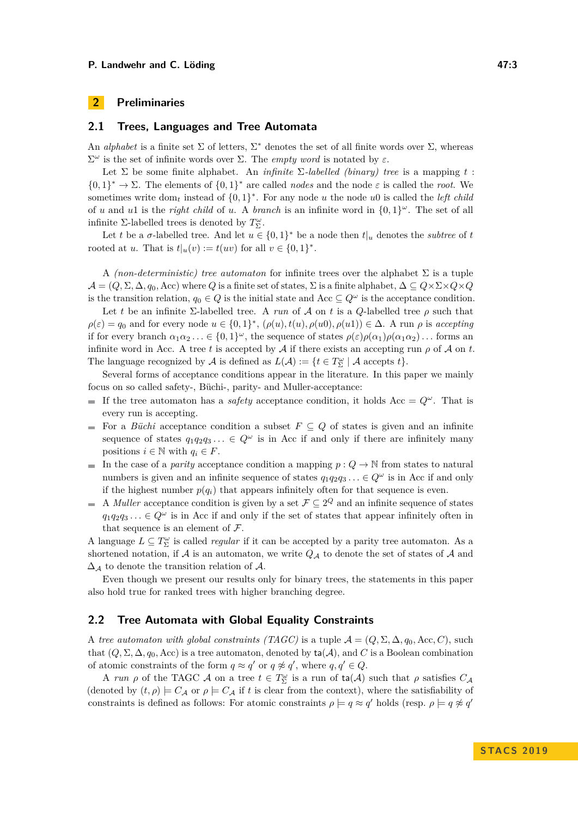# <span id="page-2-0"></span>**2 Preliminaries**

## **2.1 Trees, Languages and Tree Automata**

An *alphabet* is a finite set  $\Sigma$  of letters,  $\Sigma^*$  denotes the set of all finite words over  $\Sigma$ , whereas Σ *<sup>ω</sup>* is the set of infinite words over Σ. The *empty word* is notated by *ε*.

Let  $\Sigma$  be some finite alphabet. An *infinite*  $\Sigma$ -labelled *(binary)* tree is a mapping t:  $\{0,1\}^* \to \Sigma$ . The elements of  $\{0,1\}^*$  are called *nodes* and the node  $\varepsilon$  is called the *root*. We sometimes write  $dom_t$  instead of  $\{0,1\}^*$ . For any node *u* the node *u*0 is called the *left child* of *u* and *u*1 is the *right child* of *u*. A *branch* is an infinite word in  $\{0,1\}^{\omega}$ . The set of all infinite Σ-labelled trees is denoted by  $T_{\Sigma}^{\omega}$ .

Let *t* be a *σ*-labelled tree. And let  $u \in \{0,1\}^*$  be a node then  $t|_u$  denotes the *subtree* of *t* rooted at *u*. That is  $t|_u(v) := t(uv)$  for all  $v \in \{0,1\}^*$ .

A *(non-deterministic) tree automaton* for infinite trees over the alphabet Σ is a tuple  $\mathcal{A} = (Q, \Sigma, \Delta, q_0, \text{Acc})$  where *Q* is a finite set of states,  $\Sigma$  is a finite alphabet,  $\Delta \subseteq Q \times \Sigma \times Q \times Q$ is the transition relation,  $q_0 \in Q$  is the initial state and Acc  $\subseteq Q^{\omega}$  is the acceptance condition.

Let *t* be an infinite  $\Sigma$ -labelled tree. A *run* of A on *t* is a Q-labelled tree  $\rho$  such that  $\rho(\varepsilon) = q_0$  and for every node  $u \in \{0,1\}^*, (\rho(u), t(u), \rho(u0), \rho(u1)) \in \Delta.$  A run  $\rho$  is *accepting* if for every branch  $\alpha_1\alpha_2\ldots \in \{0,1\}^\omega$ , the sequence of states  $\rho(\varepsilon)\rho(\alpha_1)\rho(\alpha_1\alpha_2)\ldots$  forms an infinite word in Acc. A tree t is accepted by A if there exists an accepting run  $\rho$  of A on t. The language recognized by  $A$  is defined as  $L(A) := \{ t \in T_{\Sigma}^{\omega} \mid A \text{ accepts } t \}.$ 

Several forms of acceptance conditions appear in the literature. In this paper we mainly focus on so called safety-, Büchi-, parity- and Muller-acceptance:

- If the tree automaton has a *safety* acceptance condition, it holds  $Acc = Q^{\omega}$ . That is every run is accepting.
- For a *Büchi* acceptance condition a subset  $F \subseteq Q$  of states is given and an infinite sequence of states  $q_1q_2q_3... \in Q^{\omega}$  is in Acc if and only if there are infinitely many positions  $i \in \mathbb{N}$  with  $q_i \in F$ .
- m. In the case of a *parity* acceptance condition a mapping  $p: Q \to \mathbb{N}$  from states to natural numbers is given and an infinite sequence of states  $q_1q_2q_3 \ldots \in Q^{\omega}$  is in Acc if and only if the highest number  $p(q_i)$  that appears infinitely often for that sequence is even.
- A *Muller* acceptance condition is given by a set  $\mathcal{F} \subseteq 2^Q$  and an infinite sequence of states  $q_1q_2q_3... \in Q^{\omega}$  is in Acc if and only if the set of states that appear infinitely often in that sequence is an element of  $\mathcal{F}.$

A language  $L \subseteq T_{\Sigma}^{\omega}$  is called *regular* if it can be accepted by a parity tree automaton. As a shortened notation, if  $A$  is an automaton, we write  $Q_A$  to denote the set of states of  $A$  and  $\Delta_{\mathcal{A}}$  to denote the transition relation of  $\mathcal{A}$ .

Even though we present our results only for binary trees, the statements in this paper also hold true for ranked trees with higher branching degree.

## **2.2 Tree Automata with Global Equality Constraints**

A *tree automaton with global constraints (TAGC)* is a tuple  $A = (Q, \Sigma, \Delta, q_0, \text{Acc}, C)$ , such that  $(Q, \Sigma, \Delta, q_0, \text{Acc})$  is a tree automaton, denoted by  $ta(\mathcal{A})$ , and C is a Boolean combination of atomic constraints of the form  $q \approx q'$  or  $q \not\approx q'$ , where  $q, q' \in Q$ .

A *run*  $\rho$  of the TAGC  $\mathcal A$  on a tree  $t \in T_{\Sigma}^{\omega}$  is a run of  $\text{ta}(\mathcal A)$  such that  $\rho$  satisfies  $C_{\mathcal A}$ (denoted by  $(t, \rho) \models C_{\mathcal{A}}$  or  $\rho \models C_{\mathcal{A}}$  if *t* is clear from the context), where the satisfiability of constraints is defined as follows: For atomic constraints  $\rho \models q \approx q'$  holds (resp.  $\rho \models q \not\approx q'$ )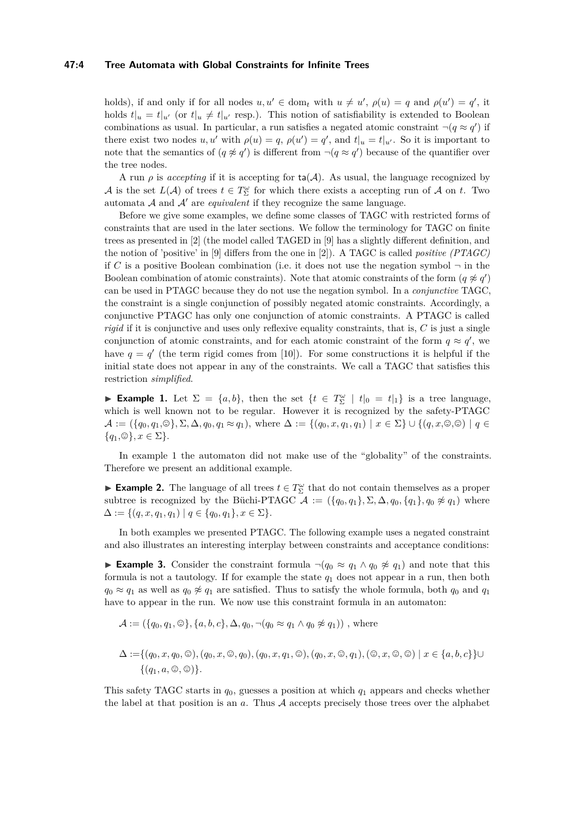#### **47:4 Tree Automata with Global Constraints for Infinite Trees**

holds), if and only if for all nodes  $u, u' \in \text{dom}_t$  with  $u \neq u'$ ,  $\rho(u) = q$  and  $\rho(u') = q'$ , it holds  $t|_u = t|_{u'}$  (or  $t|_u \neq t|_{u'}$  resp.). This notion of satisfiability is extended to Boolean combinations as usual. In particular, a run satisfies a negated atomic constraint  $\neg(q \approx q')$  if there exist two nodes  $u, u'$  with  $\rho(u) = q$ ,  $\rho(u') = q'$ , and  $t|_u = t|_{u'}$ . So it is important to note that the semantics of  $(q \not\approx q')$  is different from  $\neg(q \approx q')$  because of the quantifier over the tree nodes.

A run  $\rho$  is *accepting* if it is accepting for  $ta(A)$ . As usual, the language recognized by A is the set  $L(\mathcal{A})$  of trees  $t \in T_{\Sigma}^{\omega}$  for which there exists a accepting run of A on t. Two automata  $A$  and  $A'$  are *equivalent* if they recognize the same language.

Before we give some examples, we define some classes of TAGC with restricted forms of constraints that are used in the later sections. We follow the terminology for TAGC on finite trees as presented in [\[2\]](#page-12-0) (the model called TAGED in [\[9\]](#page-13-3) has a slightly different definition, and the notion of 'positive' in [\[9\]](#page-13-3) differs from the one in [\[2\]](#page-12-0)). A TAGC is called *positive (PTAGC)* if *C* is a positive Boolean combination (i.e. it does not use the negation symbol  $\neg$  in the Boolean combination of atomic constraints). Note that atomic constraints of the form  $(q \not\approx q')$ can be used in PTAGC because they do not use the negation symbol. In a *conjunctive* TAGC, the constraint is a single conjunction of possibly negated atomic constraints. Accordingly, a conjunctive PTAGC has only one conjunction of atomic constraints. A PTAGC is called *rigid* if it is conjunctive and uses only reflexive equality constraints, that is, *C* is just a single conjunction of atomic constraints, and for each atomic constraint of the form  $q \approx q'$ , we have  $q = q'$  (the term rigid comes from [\[10\]](#page-13-14)). For some constructions it is helpful if the initial state does not appear in any of the constraints. We call a TAGC that satisfies this restriction *simplified*.

<span id="page-3-0"></span>► **Example 1.** Let  $\Sigma = \{a, b\}$ , then the set  $\{t \in T_{\Sigma}^{\omega} \mid t|_0 = t|_1\}$  is a tree language, which is well known not to be regular. However it is recognized by the safety-PTAGC  $\mathcal{A} := (\{q_0, q_1, \mathcal{O}\}, \Sigma, \Delta, q_0, q_1 \approx q_1), \text{ where } \Delta := \{(q_0, x, q_1, q_1) \mid x \in \Sigma\} \cup \{(q, x, \mathcal{O}, \mathcal{O}) \mid q \in \mathcal{A}\}$  $\{q_1, \mathcal{O}\}, x \in \Sigma\}.$ 

In example [1](#page-3-0) the automaton did not make use of the "globality" of the constraints. Therefore we present an additional example.

**Example 2.** The language of all trees  $t \in T_{\Sigma}^{\omega}$  that do not contain themselves as a proper subtree is recognized by the Büchi-PTAGC  $\mathcal{A} := (\{q_0, q_1\}, \Sigma, \Delta, q_0, \{q_1\}, q_0 \not\approx q_1)$  where  $\Delta := \{(q, x, q_1, q_1) \mid q \in \{q_0, q_1\}, x \in \Sigma\}.$ 

In both examples we presented PTAGC. The following example uses a negated constraint and also illustrates an interesting interplay between constraints and acceptance conditions:

<span id="page-3-1"></span>**Example 3.** Consider the constraint formula  $\neg (q_0 \approx q_1 \land q_0 \not\approx q_1)$  and note that this formula is not a tautology. If for example the state *q*<sup>1</sup> does not appear in a run, then both  $q_0 \approx q_1$  as well as  $q_0 \not\approx q_1$  are satisfied. Thus to satisfy the whole formula, both  $q_0$  and  $q_1$ have to appear in the run. We now use this constraint formula in an automaton:

$$
\mathcal{A} := (\{q_0, q_1, \mathcal{O}\}, \{a, b, c\}, \Delta, q_0, \neg (q_0 \approx q_1 \land q_0 \not\approx q_1))
$$
, where

$$
\Delta := \{ (q_0, x, q_0, \mathcal{Q}), (q_0, x, \mathcal{Q}, q_0), (q_0, x, q_1, \mathcal{Q}), (q_0, x, \mathcal{Q}, q_1), (\mathcal{Q}, x, \mathcal{Q}, \mathcal{Q}) \mid x \in \{a, b, c\} \} \cup \{ (q_1, a, \mathcal{Q}, \mathcal{Q}) \}.
$$

This safety TAGC starts in *q*0, guesses a position at which *q*<sup>1</sup> appears and checks whether the label at that position is an *a*. Thus A accepts precisely those trees over the alphabet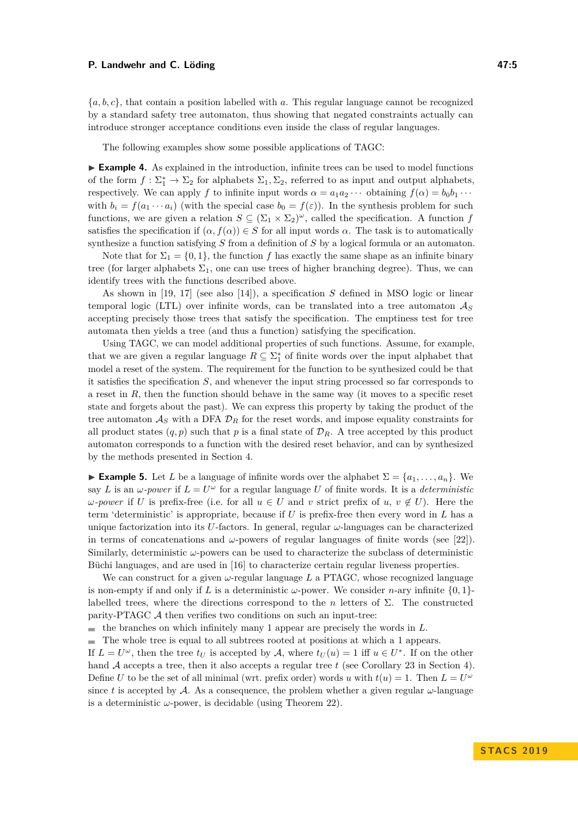{*a, b, c*}, that contain a position labelled with *a*. This regular language cannot be recognized by a standard safety tree automaton, thus showing that negated constraints actually can introduce stronger acceptance conditions even inside the class of regular languages.

The following examples show some possible applications of TAGC:

► **Example 4.** As explained in the introduction, infinite trees can be used to model functions of the form  $f: \Sigma_1^* \to \Sigma_2$  for alphabets  $\Sigma_1, \Sigma_2$ , referred to as input and output alphabets, respectively. We can apply *f* to infinite input words  $\alpha = a_1 a_2 \cdots$  obtaining  $f(\alpha) = b_0 b_1 \cdots$ with  $b_i = f(a_1 \cdots a_i)$  (with the special case  $b_0 = f(\varepsilon)$ ). In the synthesis problem for such functions, we are given a relation  $S \subseteq (\Sigma_1 \times \Sigma_2)^\omega$ , called the specification. A function *f* satisfies the specification if  $(\alpha, f(\alpha)) \in S$  for all input words  $\alpha$ . The task is to automatically synthesize a function satisfying *S* from a definition of *S* by a logical formula or an automaton.

Note that for  $\Sigma_1 = \{0, 1\}$ , the function f has exactly the same shape as an infinite binary tree (for larger alphabets  $\Sigma_1$ , one can use trees of higher branching degree). Thus, we can identify trees with the functions described above.

As shown in [\[19,](#page-14-5) [17\]](#page-13-11) (see also [\[14\]](#page-13-6)), a specification *S* defined in MSO logic or linear temporal logic (LTL) over infinite words, can be translated into a tree automaton A*<sup>S</sup>* accepting precisely those trees that satisfy the specification. The emptiness test for tree automata then yields a tree (and thus a function) satisfying the specification.

Using TAGC, we can model additional properties of such functions. Assume, for example, that we are given a regular language  $R \subseteq \sum_{1}^{*}$  of finite words over the input alphabet that model a reset of the system. The requirement for the function to be synthesized could be that it satisfies the specification *S*, and whenever the input string processed so far corresponds to a reset in *R*, then the function should behave in the same way (it moves to a specific reset state and forgets about the past). We can express this property by taking the product of the tree automaton  $A_S$  with a DFA  $D_R$  for the reset words, and impose equality constraints for all product states  $(q, p)$  such that p is a final state of  $\mathcal{D}_R$ . A tree accepted by this product automaton corresponds to a function with the desired reset behavior, and can by synthesized by the methods presented in Section [4.](#page-7-0)

**► Example 5.** Let *L* be a language of infinite words over the alphabet  $\Sigma = \{a_1, \ldots, a_n\}$ . We say *L* is an  $\omega$ -power if  $L = U^{\omega}$  for a regular language *U* of finite words. It is a *deterministic ω-power* if *U* is prefix-free (i.e. for all *u* ∈ *U* and *v* strict prefix of *u*, *v* ∉ *U*). Here the term 'deterministic' is appropriate, because if *U* is prefix-free then every word in *L* has a unique factorization into its *U*-factors. In general, regular *ω*-languages can be characterized in terms of concatenations and  $\omega$ -powers of regular languages of finite words (see [\[22\]](#page-14-7)). Similarly, deterministic *ω*-powers can be used to characterize the subclass of deterministic Büchi languages, and are used in [\[16\]](#page-13-15) to characterize certain regular liveness properties.

We can construct for a given *ω*-regular language *L* a PTAGC, whose recognized language is non-empty if and only if *L* is a deterministic  $\omega$ -power. We consider *n*-ary infinite  $\{0, 1\}$ labelled trees, where the directions correspond to the *n* letters of  $\Sigma$ . The constructed parity-PTAGC A then verifies two conditions on such an input-tree:

the branches on which infinitely many 1 appear are precisely the words in *L*.  $\mathbf{r}$ 

The whole tree is equal to all subtrees rooted at positions at which a 1 appears.

If  $L = U^{\omega}$ , then the tree  $t_U$  is accepted by A, where  $t_U(u) = 1$  iff  $u \in U^*$ . If on the other hand A accepts a tree, then it also accepts a regular tree *t* (see Corollary [23](#page-12-3) in Section [4\)](#page-7-0). Define *U* to be the set of all minimal (wrt. prefix order) words *u* with  $t(u) = 1$ . Then  $L = U^{\omega}$ since *t* is accepted by A. As a consequence, the problem whether a given regular  $\omega$ -language is a deterministic  $\omega$ -power, is decidable (using Theorem [22\)](#page-11-0).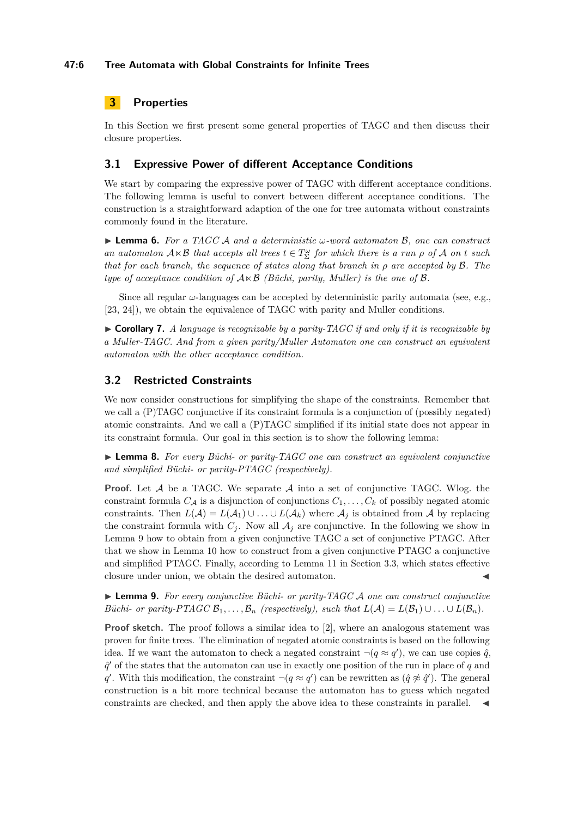# <span id="page-5-0"></span>**3 Properties**

In this Section we first present some general properties of TAGC and then discuss their closure properties.

# **3.1 Expressive Power of different Acceptance Conditions**

We start by comparing the expressive power of TAGC with different acceptance conditions. The following lemma is useful to convert between different acceptance conditions. The construction is a straightforward adaption of the one for tree automata without constraints commonly found in the literature.

<span id="page-5-3"></span>I **Lemma 6.** *For a TAGC* A *and a deterministic ω-word automaton* B*, one can construct an automaton*  $A \times B$  *that accepts all trees*  $t \in T_{\Sigma}^{\omega}$  *for which there is a run*  $\rho$  *of*  $A$  *on t such that for each branch, the sequence of states along that branch in ρ are accepted by* B*. The type of acceptance condition of*  $A \times B$  *(Büchi, parity, Muller) is the one of*  $B$ *.* 

Since all regular  $\omega$ -languages can be accepted by deterministic parity automata (see, e.g., [\[23,](#page-14-1) [24\]](#page-14-8)), we obtain the equivalence of TAGC with parity and Muller conditions.

 $\triangleright$  **Corollary 7.** *A language is recognizable by a parity-TAGC if and only if it is recognizable by a Muller-TAGC. And from a given parity/Muller Automaton one can construct an equivalent automaton with the other acceptance condition.*

# **3.2 Restricted Constraints**

We now consider constructions for simplifying the shape of the constraints. Remember that we call a (P)TAGC conjunctive if its constraint formula is a conjunction of (possibly negated) atomic constraints. And we call a (P)TAGC simplified if its initial state does not appear in its constraint formula. Our goal in this section is to show the following lemma:

<span id="page-5-2"></span>I **Lemma 8.** *For every Büchi- or parity-TAGC one can construct an equivalent conjunctive and simplified Büchi- or parity-PTAGC (respectively).*

**Proof.** Let  $A$  be a TAGC. We separate  $A$  into a set of conjunctive TAGC. Wlog. the constraint formula  $C_A$  is a disjunction of conjunctions  $C_1, \ldots, C_k$  of possibly negated atomic constraints. Then  $L(A) = L(A_1) \cup ... \cup L(A_k)$  where  $A_j$  is obtained from A by replacing the constraint formula with  $C_i$ . Now all  $A_i$  are conjunctive. In the following we show in Lemma [9](#page-5-1) how to obtain from a given conjunctive TAGC a set of conjunctive PTAGC. After that we show in Lemma [10](#page-6-0) how to construct from a given conjunctive PTAGC a conjunctive and simplified PTAGC. Finally, according to Lemma [11](#page-6-1) in Section [3.3,](#page-6-2) which states effective closure under union, we obtain the desired automaton.

<span id="page-5-1"></span>I **Lemma 9.** *For every conjunctive Büchi- or parity-TAGC* A *one can construct conjunctive Büchi- or parity-PTAGC*  $B_1, \ldots, B_n$  *(respectively), such that*  $L(\mathcal{A}) = L(\mathcal{B}_1) \cup \ldots \cup L(\mathcal{B}_n)$ .

**Proof sketch.** The proof follows a similar idea to [\[2\]](#page-12-0), where an analogous statement was proven for finite trees. The elimination of negated atomic constraints is based on the following idea. If we want the automaton to check a negated constraint  $\neg(q \approx q')$ , we can use copies  $\hat{q}$ ,  $\hat{q}'$  of the states that the automaton can use in exactly one position of the run in place of  $q$  and *q*0. With this modification, the constraint  $\neg(q \approx q')$  can be rewritten as  $(\hat{q} \not\approx \hat{q}')$ . The general construction is a bit more technical because the automaton has to guess which negated constraints are checked, and then apply the above idea to these constraints in parallel.  $\blacktriangleleft$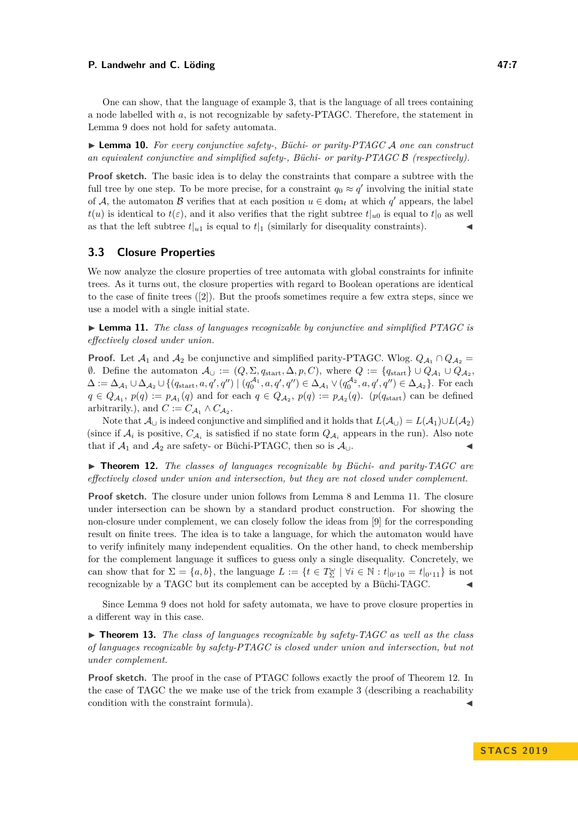One can show, that the language of example [3,](#page-3-1) that is the language of all trees containing a node labelled with *a*, is not recognizable by safety-PTAGC. Therefore, the statement in Lemma [9](#page-5-1) does not hold for safety automata.

<span id="page-6-0"></span>► **Lemma 10.** For every conjunctive safety-, Büchi- or parity-PTAGC A one can construct *an equivalent conjunctive and simplified safety-, Büchi- or parity-PTAGC* B *(respectively).*

**Proof sketch.** The basic idea is to delay the constraints that compare a subtree with the full tree by one step. To be more precise, for a constraint  $q_0 \approx q'$  involving the initial state of A, the automaton B verifies that at each position  $u \in \text{dom}_t$  at which  $q'$  appears, the label  $t(u)$  is identical to  $t(\varepsilon)$ , and it also verifies that the right subtree  $t|_{u0}$  is equal to  $t|_0$  as well as that the left subtree  $t|_{u_1}$  is equal to  $t|_1$  (similarly for disequality constraints).

## <span id="page-6-2"></span>**3.3 Closure Properties**

We now analyze the closure properties of tree automata with global constraints for infinite trees. As it turns out, the closure properties with regard to Boolean operations are identical to the case of finite trees ([\[2\]](#page-12-0)). But the proofs sometimes require a few extra steps, since we use a model with a single initial state.

<span id="page-6-1"></span>► Lemma 11. *The class of languages recognizable by conjunctive and simplified PTAGC is effectively closed under union.*

**Proof.** Let  $\mathcal{A}_1$  and  $\mathcal{A}_2$  be conjunctive and simplified parity-PTAGC. Wlog.  $Q_{\mathcal{A}_1} \cap Q_{\mathcal{A}_2} =$ 0. Define the automaton  $\mathcal{A}_{\cup} := (Q, \Sigma, q_{\text{start}}, \Delta, p, C)$ , where  $Q := \{q_{\text{start}}\} \cup Q_{\mathcal{A}_1} \cup Q_{\mathcal{A}_2},$  $\Delta := \Delta_{\mathcal{A}_1} \cup \Delta_{\mathcal{A}_2} \cup \{ (q_{\text{start}}, a, q', q'') \mid (q_0^{\mathcal{A}_1}, a, q', q'') \in \Delta_{\mathcal{A}_1} \vee (q_0^{\mathcal{A}_2}, a, q', q'') \in \Delta_{\mathcal{A}_2} \}.$  For each  $q \in Q_{A_1}, p(q) := p_{A_1}(q)$  and for each  $q \in Q_{A_2}, p(q) := p_{A_2}(q)$ . (*p*(*q*<sub>start</sub>) can be defined arbitrarily.), and  $C := C_{A_1} \wedge C_{A_2}$ .

Note that  $\mathcal{A}_{\cup}$  is indeed conjunctive and simplified and it holds that  $L(\mathcal{A}_{\cup}) = L(\mathcal{A}_1) \cup L(\mathcal{A}_2)$ (since if  $A_i$  is positive,  $C_{A_i}$  is satisfied if no state form  $Q_{A_i}$  appears in the run). Also note that if  $\mathcal{A}_1$  and  $\mathcal{A}_2$  are safety- or Büchi-PTAGC, then so is  $\mathcal{A}_\cup$ .

<span id="page-6-3"></span>▶ **Theorem 12.** *The classes of languages recognizable by Büchi- and parity-TAGC are effectively closed under union and intersection, but they are not closed under complement.*

**Proof sketch.** The closure under union follows from Lemma [8](#page-5-2) and Lemma [11.](#page-6-1) The closure under intersection can be shown by a standard product construction. For showing the non-closure under complement, we can closely follow the ideas from [\[9\]](#page-13-3) for the corresponding result on finite trees. The idea is to take a language, for which the automaton would have to verify infinitely many independent equalities. On the other hand, to check membership for the complement language it suffices to guess only a single disequality. Concretely, we can show that for  $\Sigma = \{a, b\}$ , the language  $L := \{t \in T_{\Sigma}^{\omega} \mid \forall i \in \mathbb{N} : t|_{0^{i}10} = t|_{0^{i}11}\}$  is not recognizable by a TAGC but its complement can be accepted by a Büchi-TAGC. J

Since Lemma [9](#page-5-1) does not hold for safety automata, we have to prove closure properties in a different way in this case.

 $\triangleright$  **Theorem 13.** The class of languages recognizable by safety-TAGC as well as the class *of languages recognizable by safety-PTAGC is closed under union and intersection, but not under complement.*

**Proof sketch.** The proof in the case of PTAGC follows exactly the proof of Theorem [12.](#page-6-3) In the case of TAGC the we make use of the trick from example [3](#page-3-1) (describing a reachability condition with the constraint formula).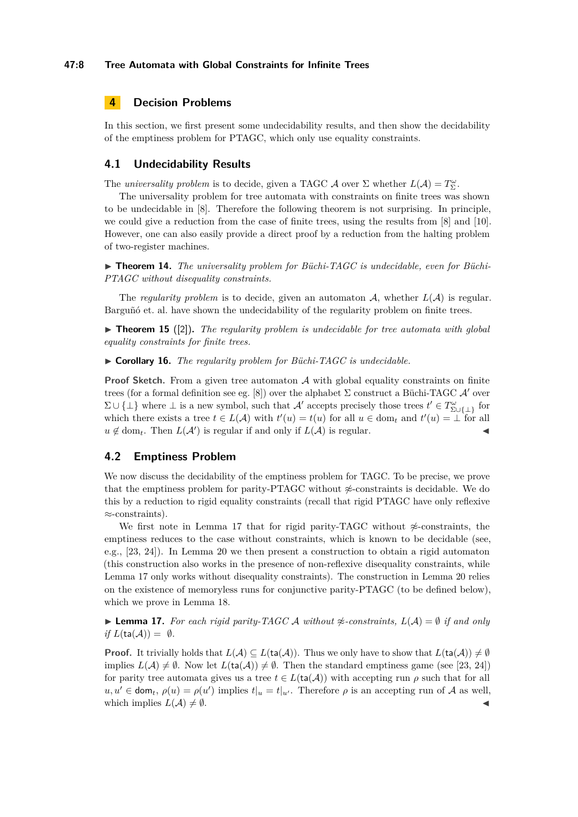#### **47:8 Tree Automata with Global Constraints for Infinite Trees**

# <span id="page-7-0"></span>**4 Decision Problems**

In this section, we first present some undecidability results, and then show the decidability of the emptiness problem for PTAGC, which only use equality constraints.

# **4.1 Undecidability Results**

The *universality problem* is to decide, given a TAGC A over  $\Sigma$  whether  $L(\mathcal{A}) = T_{\Sigma}^{\omega}$ .

The universality problem for tree automata with constraints on finite trees was shown to be undecidable in [\[8\]](#page-13-2). Therefore the following theorem is not surprising. In principle, we could give a reduction from the case of finite trees, using the results from [\[8\]](#page-13-2) and [\[10\]](#page-13-14). However, one can also easily provide a direct proof by a reduction from the halting problem of two-register machines.

▶ **Theorem 14.** The universality problem for Büchi-TAGC is undecidable, even for Büchi-*PTAGC without disequality constraints.*

The *regularity problem* is to decide, given an automaton  $A$ , whether  $L(A)$  is regular. Barguñó et. al. have shown the undecidability of the regularity problem on finite trees.

 $\triangleright$  **Theorem 15** ([\[2\]](#page-12-0)). The regularity problem is undecidable for tree automata with global *equality constraints for finite trees.*

▶ Corollary 16. *The regularity problem for Büchi-TAGC is undecidable.* 

**Proof Sketch.** From a given tree automaton A with global equality constraints on finite trees (for a formal definition see eg. [\[8\]](#page-13-2)) over the alphabet  $\Sigma$  construct a Büchi-TAGC  $\mathcal{A}'$  over  $\Sigma \cup \{\perp\}$  where  $\perp$  is a new symbol, such that  $\mathcal{A}'$  accepts precisely those trees  $t' \in T^{\omega}_{\Sigma \cup \{\perp\}}$  for which there exists a tree  $t \in L(\mathcal{A})$  with  $t'(u) = t(u)$  for all  $u \in \text{dom}_t$  and  $t'(u) = \bot$  for all  $u \notin \text{dom}_t$ . Then  $L(\mathcal{A}')$  is regular if and only if  $L(\mathcal{A})$  is regular.

### **4.2 Emptiness Problem**

We now discuss the decidability of the emptiness problem for TAGC. To be precise, we prove that the emptiness problem for parity-PTAGC without  $\mathcal{\mathscr{L}}$ -constraints is decidable. We do this by a reduction to rigid equality constraints (recall that rigid PTAGC have only reflexive ≈-constraints).

We first note in Lemma [17](#page-7-1) that for rigid parity-TAGC without  $\frac{A}{C}$ -constraints, the emptiness reduces to the case without constraints, which is known to be decidable (see, e.g., [\[23,](#page-14-1) [24\]](#page-14-8)). In Lemma [20](#page-8-0) we then present a construction to obtain a rigid automaton (this construction also works in the presence of non-reflexive disequality constraints, while Lemma [17](#page-7-1) only works without disequality constraints). The construction in Lemma [20](#page-8-0) relies on the existence of memoryless runs for conjunctive parity-PTAGC (to be defined below), which we prove in Lemma [18.](#page-8-1)

<span id="page-7-1"></span>**► Lemma 17.** For each rigid parity-TAGC A without  $\neq$ -constraints,  $L(\mathcal{A}) = \emptyset$  if and only *if*  $L(ta(\mathcal{A})) = \emptyset$ *.* 

**Proof.** It trivially holds that  $L(\mathcal{A}) \subseteq L(\text{ta}(\mathcal{A}))$ . Thus we only have to show that  $L(\text{ta}(\mathcal{A})) \neq \emptyset$ implies  $L(\mathcal{A}) \neq \emptyset$ . Now let  $L(\text{ta}(\mathcal{A})) \neq \emptyset$ . Then the standard emptiness game (see [\[23,](#page-14-1) [24\]](#page-14-8)) for parity tree automata gives us a tree  $t \in L(\text{ta}(\mathcal{A}))$  with accepting run  $\rho$  such that for all  $u, u' \in \text{dom}_t$ ,  $\rho(u) = \rho(u')$  implies  $t|_u = t|_{u'}$ . Therefore  $\rho$  is an accepting run of A as well, which implies  $L(\mathcal{A}) \neq \emptyset$ .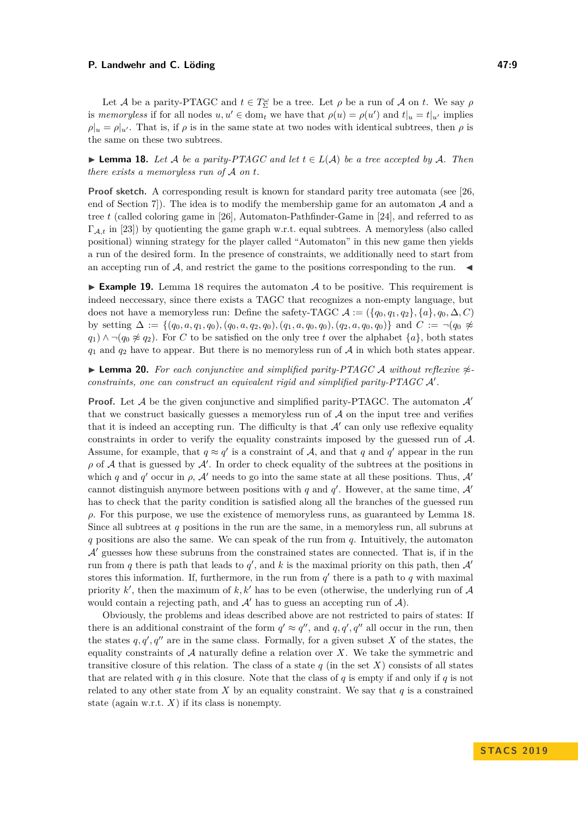Let A be a parity-PTAGC and  $t \in T_{\Sigma}^{\omega}$  be a tree. Let  $\rho$  be a run of A on *t*. We say  $\rho$ is *memoryless* if for all nodes  $u, u' \in \text{dom}_t$  we have that  $\rho(u) = \rho(u')$  and  $t|_u = t|_{u'}$  implies  $\rho|_u = \rho|_{u'}$ . That is, if  $\rho$  is in the same state at two nodes with identical subtrees, then  $\rho$  is the same on these two subtrees.

<span id="page-8-1"></span>► **Lemma 18.** Let A be a parity-PTAGC and let  $t \in L(A)$  be a tree accepted by A. Then *there exists a memoryless run of* A *on t.*

**Proof sketch.** A corresponding result is known for standard parity tree automata (see [\[26,](#page-14-6) end of Section 7. The idea is to modify the membership game for an automaton  $\mathcal A$  and a tree *t* (called coloring game in [\[26\]](#page-14-6), Automaton-Pathfinder-Game in [\[24\]](#page-14-8), and referred to as ΓA*,t* in [\[23\]](#page-14-1)) by quotienting the game graph w.r.t. equal subtrees. A memoryless (also called positional) winning strategy for the player called "Automaton" in this new game then yields a run of the desired form. In the presence of constraints, we additionally need to start from an accepting run of A, and restrict the game to the positions corresponding to the run.  $\blacktriangleleft$ 

**Example 19.** Lemma [18](#page-8-1) requires the automaton A to be positive. This requirement is indeed neccessary, since there exists a TAGC that recognizes a non-empty language, but does not have a memoryless run: Define the safety-TAGC  $A := (\{q_0, q_1, q_2\}, \{a\}, q_0, \Delta, C)$ by setting  $\Delta := \{(q_0, a, q_1, q_0), (q_0, a, q_2, q_0), (q_1, a, q_0, q_0), (q_2, a, q_0, q_0)\}\$  and  $C := \neg(q_0 \not\approx$ *q*<sub>1</sub>) ∧  $\neg$ (*q*<sub>0</sub>  $\not\approx$  *q*<sub>2</sub>). For *C* to be satisfied on the only tree *t* over the alphabet {*a*}, both states  $q_1$  and  $q_2$  have to appear. But there is no memoryless run of  $A$  in which both states appear.

<span id="page-8-0"></span>**► Lemma 20.** For each conjunctive and simplified parity-PTAGC A without reflexive  $\approx$ *constraints, one can construct an equivalent rigid and simplified parity-PTAGC A'.* 

**Proof.** Let A be the given conjunctive and simplified parity-PTAGC. The automaton  $\mathcal{A}'$ that we construct basically guesses a memoryless run of  $A$  on the input tree and verifies that it is indeed an accepting run. The difficulty is that  $\mathcal{A}'$  can only use reflexive equality constraints in order to verify the equality constraints imposed by the guessed run of A. Assume, for example, that  $q \approx q'$  is a constraint of A, and that q and q' appear in the run  $\rho$  of A that is guessed by  $\mathcal{A}'$ . In order to check equality of the subtrees at the positions in which *q* and *q*<sup>'</sup> occur in  $\rho$ ,  $\mathcal{A}'$  needs to go into the same state at all these positions. Thus,  $\mathcal{A}'$ cannot distinguish anymore between positions with  $q$  and  $q'$ . However, at the same time,  $\mathcal{A}'$ has to check that the parity condition is satisfied along all the branches of the guessed run *ρ*. For this purpose, we use the existence of memoryless runs, as guaranteed by Lemma [18.](#page-8-1) Since all subtrees at *q* positions in the run are the same, in a memoryless run, all subruns at *q* positions are also the same. We can speak of the run from *q*. Intuitively, the automaton  $\mathcal{A}'$  guesses how these subruns from the constrained states are connected. That is, if in the run from *q* there is path that leads to  $q'$ , and *k* is the maximal priority on this path, then  $\mathcal{A}'$ stores this information. If, furthermore, in the run from  $q'$  there is a path to  $q$  with maximal priority  $k'$ , then the maximum of  $k, k'$  has to be even (otherwise, the underlying run of  $A$ would contain a rejecting path, and  $A'$  has to guess an accepting run of  $A$ ).

Obviously, the problems and ideas described above are not restricted to pairs of states: If there is an additional constraint of the form  $q' \approx q''$ , and  $q, q', q''$  all occur in the run, then the states  $q, q', q''$  are in the same class. Formally, for a given subset *X* of the states, the equality constraints of  $A$  naturally define a relation over  $X$ . We take the symmetric and transitive closure of this relation. The class of a state  $q$  (in the set  $X$ ) consists of all states that are related with *q* in this closure. Note that the class of *q* is empty if and only if *q* is not related to any other state from  $X$  by an equality constraint. We say that  $q$  is a constrained state (again w.r.t.  $X$ ) if its class is nonempty.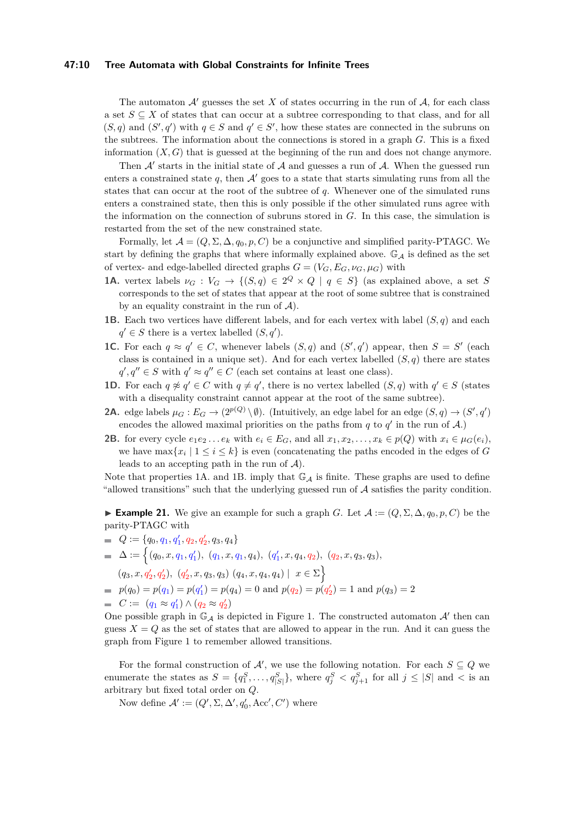#### **47:10 Tree Automata with Global Constraints for Infinite Trees**

The automaton  $\mathcal{A}'$  guesses the set X of states occurring in the run of  $\mathcal{A}$ , for each class a set  $S \subseteq X$  of states that can occur at a subtree corresponding to that class, and for all  $(S, q)$  and  $(S', q')$  with  $q \in S$  and  $q' \in S'$ , how these states are connected in the subruns on the subtrees. The information about the connections is stored in a graph *G*. This is a fixed information  $(X, G)$  that is guessed at the beginning of the run and does not change anymore.

Then  $A'$  starts in the initial state of  $A$  and guesses a run of  $A$ . When the guessed run enters a constrained state q, then  $A'$  goes to a state that starts simulating runs from all the states that can occur at the root of the subtree of *q*. Whenever one of the simulated runs enters a constrained state, then this is only possible if the other simulated runs agree with the information on the connection of subruns stored in *G*. In this case, the simulation is restarted from the set of the new constrained state.

Formally, let  $\mathcal{A} = (Q, \Sigma, \Delta, q_0, p, C)$  be a conjunctive and simplified parity-PTAGC. We start by defining the graphs that where informally explained above.  $\mathbb{G}_A$  is defined as the set of vertex- and edge-labelled directed graphs  $G = (V_G, E_G, \nu_G, \mu_G)$  with

- **1A.** vertex labels  $\nu_G : V_G \to \{(S, q) \in 2^Q \times Q \mid q \in S\}$  (as explained above, a set S corresponds to the set of states that appear at the root of some subtree that is constrained by an equality constraint in the run of  $A$ ).
- **1B.** Each two vertices have different labels, and for each vertex with label  $(S, q)$  and each  $q' \in S$  there is a vertex labelled  $(S, q')$ .
- **1C.** For each  $q \approx q' \in C$ , whenever labels  $(S, q)$  and  $(S', q')$  appear, then  $S = S'$  (each class is contained in a unique set). And for each vertex labelled  $(S, q)$  there are states  $q', q'' \in S$  with  $q' \approx q'' \in C$  (each set contains at least one class).
- **1D.** For each  $q \not\approx q' \in C$  with  $q \neq q'$ , there is no vertex labelled  $(S, q)$  with  $q' \in S$  (states with a disequality constraint cannot appear at the root of the same subtree).
- **2A.** edge labels  $\mu_G : E_G \to (2^{p(Q)} \setminus \emptyset)$ . (Intuitively, an edge label for an edge  $(S, q) \to (S', q')$ encodes the allowed maximal priorities on the paths from  $q$  to  $q'$  in the run of  $A$ .)
- **2B.** for every cycle  $e_1e_2...e_k$  with  $e_i \in E_G$ , and all  $x_1, x_2,...,x_k \in p(Q)$  with  $x_i \in \mu_G(e_i)$ , we have  $\max\{x_i \mid 1 \leq i \leq k\}$  is even (concatenating the paths encoded in the edges of *G* leads to an accepting path in the run of  $A$ ).

Note that properties 1A. and 1B. imply that  $\mathbb{G}_{\mathcal{A}}$  is finite. These graphs are used to define "allowed transitions" such that the underlying guessed run of  $A$  satisfies the parity condition.

<span id="page-9-0"></span>► **Example 21.** We give an example for such a graph *G*. Let  $\mathcal{A} := (Q, \Sigma, \Delta, q_0, p, C)$  be the parity-PTAGC with

 $Q := \{q_0, q_1, q'_1, q_2, q'_2, q_3, q_4\}$  $\Delta := \Big\{ (q_0, x, q_1, q'_1), \; (q_1, x, q_1, q_4), \; (q'_1, x, q_4, q_2), \; (q_2, x, q_3, q_3), \;$ 

 $(q_3, x, q'_2, q'_2), (q'_2, x, q_3, q_3) (q_4, x, q_4, q_4) | x \in \Sigma$ 

$$
p(q_0) = p(q_1) = p(q'_1) = p(q_4) = 0
$$
 and  $p(q_2) = p(q'_2) = 1$  and  $p(q_3) = 2$ 

$$
\qquad \qquad \blacksquare \quad C := (q_1 \approx q'_1) \land (q_2 \approx q'_2)
$$

One possible graph in  $\mathbb{G}_{\mathcal{A}}$  is depicted in Figure [1.](#page-10-0) The constructed automaton  $\mathcal{A}'$  then can guess  $X = Q$  as the set of states that are allowed to appear in the run. And it can guess the graph from Figure [1](#page-10-0) to remember allowed transitions.

For the formal construction of  $\mathcal{A}'$ , we use the following notation. For each  $S \subseteq Q$  we enumerate the states as  $S = \{q_1^S, \ldots, q_{|S|}^S\}$ , where  $q_j^S < q_{j+1}^S$  for all  $j \leq |S|$  and  $\lt$  is an arbitrary but fixed total order on *Q*.

Now define  $\mathcal{A}' := (Q', \Sigma, \Delta', q'_0, \text{Acc}', C')$  where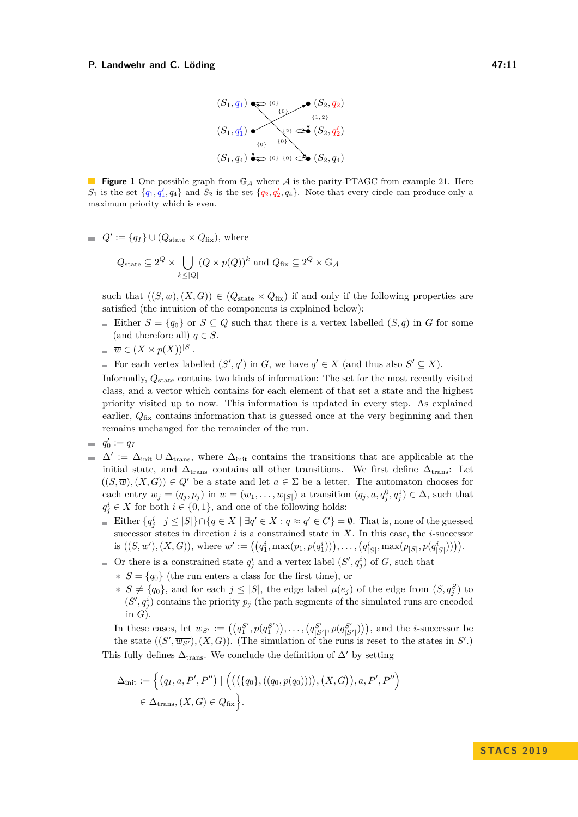

<span id="page-10-0"></span>**Figure 1** One possible graph from  $\mathbb{G}_{\mathcal{A}}$  where  $\mathcal{A}$  is the parity-PTAGC from example [21.](#page-9-0) Here  $S_1$  is the set  $\{q_1, q'_1, q_4\}$  and  $S_2$  is the set  $\{q_2, q'_2, q_4\}$ . Note that every circle can produce only a maximum priority which is even.

 $Q' := \{q_I\} \cup (Q_{\text{state}} \times Q_{\text{fix}})$ , where

$$
Q_{\text{state}} \subseteq 2^Q \times \bigcup_{k \leq |Q|} (Q \times p(Q))^k
$$
 and  $Q_{\text{fix}} \subseteq 2^Q \times \mathbb{G}_{\mathcal{A}}$ 

such that  $((S,\overline{w}), (X,G)) \in (Q_{\text{state}} \times Q_{\text{fix}})$  if and only if the following properties are satisfied (the intuition of the components is explained below):

Either  $S = \{q_0\}$  or  $S \subseteq Q$  such that there is a vertex labelled  $(S, q)$  in *G* for some (and therefore all)  $q \in S$ .

$$
\quad \equiv \overline{w} \in (X \times p(X))^{[S]}
$$

.

For each vertex labelled  $(S', q')$  in *G*, we have  $q' \in X$  (and thus also  $S' \subseteq X$ ).

Informally, *Q*state contains two kinds of information: The set for the most recently visited class, and a vector which contains for each element of that set a state and the highest priority visited up to now. This information is updated in every step. As explained earlier,  $Q_{\text{fix}}$  contains information that is guessed once at the very beginning and then remains unchanged for the remainder of the run.

$$
\equiv q'_0 := q_I
$$

- $\Delta' := \Delta_{\text{init}} \cup \Delta_{\text{trans}}$ , where  $\Delta_{\text{init}}$  contains the transitions that are applicable at the  $\sim$ initial state, and  $\Delta_{trans}$  contains all other transitions. We first define  $\Delta_{trans}$ : Let  $((S,\overline{w}), (X,G)) \in Q'$  be a state and let  $a \in \Sigma$  be a letter. The automaton chooses for each entry  $w_j = (q_j, p_j)$  in  $\overline{w} = (w_1, \ldots, w_{|S|})$  a transition  $(q_j, a, q_j^0, q_j^1) \in \Delta$ , such that  $q_j^i \in X$  for both  $i \in \{0, 1\}$ , and one of the following holds:
	- Either  $\{q_j^i \mid j \leq |S|\} \cap \{q \in X \mid \exists q' \in X : q \approx q' \in C\} = \emptyset$ . That is, none of the guessed successor states in direction *i* is a constrained state in *X*. In this case, the *i*-successor is  $((S,\overline{w}'),(X,G))$ , where  $\overline{w}' := ((q_1^i, \max(p_1, p(q_1^i))), \ldots, (q_{|S|}^i, \max(p_{|S|}, p(q_{|S|}^i))))$ .
	- Or there is a constrained state  $q_j^i$  and a vertex label  $(S', q_j^i)$  of *G*, such that
		- **∗** *S* = {*q*0} (the run enters a class for the first time), or
		- **∗**  $S \neq \{q_0\}$ , and for each  $j \leq |S|$ , the edge label  $\mu(e_j)$  of the edge from  $(S, q_j^S)$  to  $(S', q_j^i)$  contains the priority  $p_j$  (the path segments of the simulated runs are encoded in *G*).

In these cases, let  $\overline{w_{S'}} := ((q_1^{S'}, p(q_1^{S'})), \ldots, (q_{|S'|}^{S'}, p(q_{|S'|}^{S'})))$ , and the *i*-successor be the state  $((S', \overline{w_{S'}}), (X, G))$ . (The simulation of the runs is reset to the states in  $S'$ .) This fully defines  $\Delta_{\text{trans}}$ . We conclude the definition of  $\Delta'$  by setting

$$
\Delta_{\text{init}} := \left\{ (q_I, a, P', P'') \mid \left( ((\{q_0\}, ((q_0, p(q_0)))) , (X, G)), a, P', P'' \right) \right\}
$$
  

$$
\in \Delta_{\text{trans}}, (X, G) \in Q_{\text{fix}} \right\}.
$$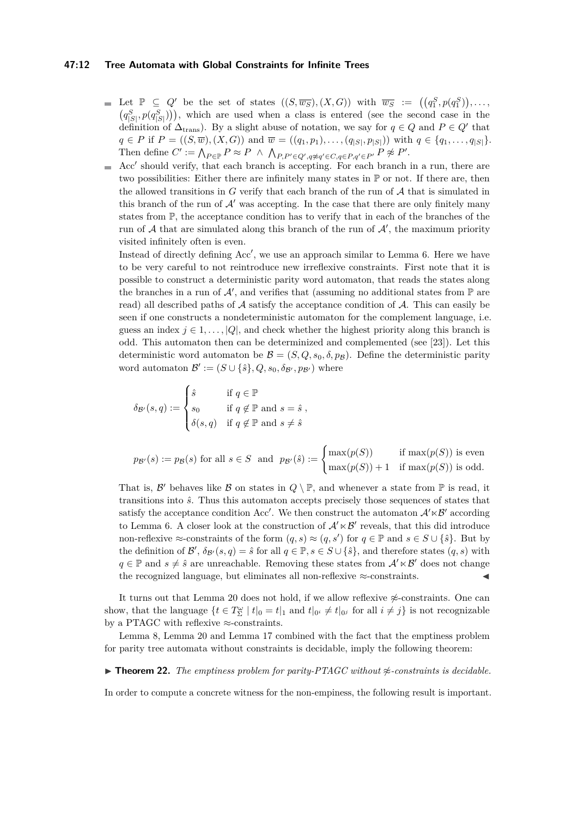#### **47:12 Tree Automata with Global Constraints for Infinite Trees**

- Let  $\mathbb{P} \subseteq Q'$  be the set of states  $((S, \overline{w_S}), (X, G))$  with  $\overline{w_S} := ((q_1^S, p(q_1^S)), \ldots,$  $(q_{|S|}^S, p(q_{|S|}^S))$ , which are used when a class is entered (see the second case in the definition of  $\Delta_{trans}$ ). By a slight abuse of notation, we say for  $q \in Q$  and  $P \in Q'$  that  $q \in P$  if  $P = ((S,\overline{w}), (X,G))$  and  $\overline{w} = ((q_1,p_1), \ldots, (q_{|S|}, p_{|S|}))$  with  $q \in \{q_1, \ldots, q_{|S|}\}.$ Then define  $C' := \bigwedge_{P \in \mathbb{P}} P \approx P \wedge \bigwedge_{P, P' \in Q', q \not\approx q' \in C, q \in P, q' \in P'} P \not\approx P'.$
- Acc' should verify, that each branch is accepting. For each branch in a run, there are m. two possibilities: Either there are infinitely many states in  $\mathbb P$  or not. If there are, then the allowed transitions in  $G$  verify that each branch of the run of  $A$  that is simulated in this branch of the run of  $A'$  was accepting. In the case that there are only finitely many states from P, the acceptance condition has to verify that in each of the branches of the run of  $A$  that are simulated along this branch of the run of  $A'$ , the maximum priority visited infinitely often is even.

Instead of directly defining  $Acc'$ , we use an approach similar to Lemma [6.](#page-5-3) Here we have to be very careful to not reintroduce new irreflexive constraints. First note that it is possible to construct a deterministic parity word automaton, that reads the states along the branches in a run of  $\mathcal{A}'$ , and verifies that (assuming no additional states from  $\mathbb P$  are read) all described paths of  $\mathcal A$  satisfy the acceptance condition of  $\mathcal A$ . This can easily be seen if one constructs a nondeterministic automaton for the complement language, i.e. guess an index  $j \in 1, \ldots, |Q|$ , and check whether the highest priority along this branch is odd. This automaton then can be determinized and complemented (see [\[23\]](#page-14-1)). Let this deterministic word automaton be  $\mathcal{B} = (S, Q, s_0, \delta, p_\mathcal{B})$ . Define the deterministic parity word automaton  $\mathcal{B}' := (S \cup \{\hat{s}\}, Q, s_0, \delta_{\mathcal{B}'}, p_{\mathcal{B}'})$  where

$$
\delta_{\mathcal{B}'}(s,q) := \begin{cases} \hat{s} & \text{if } q \in \mathbb{P} \\ s_0 & \text{if } q \notin \mathbb{P} \text{ and } s = \hat{s} \\ \delta(s,q) & \text{if } q \notin \mathbb{P} \text{ and } s \neq \hat{s} \end{cases}
$$

$$
p_{\mathcal{B}'}(s) := p_{\mathcal{B}}(s) \text{ for all } s \in S \text{ and } p_{\mathcal{B}'}(\hat{s}) := \begin{cases} \max(p(S)) & \text{if } \max(p(S)) \text{ is even} \\ \max(p(S)) + 1 & \text{if } \max(p(S)) \text{ is odd.} \end{cases}
$$

That is,  $\mathcal{B}'$  behaves like  $\mathcal{B}$  on states in  $Q \setminus \mathbb{P}$ , and whenever a state from  $\mathbb{P}$  is read, it transitions into *s*ˆ. Thus this automaton accepts precisely those sequences of states that satisfy the acceptance condition Acc'. We then construct the automaton  $\mathcal{A}' \times \mathcal{B}'$  according to Lemma [6.](#page-5-3) A closer look at the construction of  $\mathcal{A}' \times \mathcal{B}'$  reveals, that this did introduce non-reflexive  $\approx$ -constraints of the form  $(q, s) \approx (q, s')$  for  $q \in \mathbb{P}$  and  $s \in S \cup \{\hat{s}\}.$  But by the definition of  $\mathcal{B}'$ ,  $\delta_{\mathcal{B}'}(s,q) = \hat{s}$  for all  $q \in \mathbb{P}, s \in S \cup \{\hat{s}\}$ , and therefore states  $(q, s)$  with  $q \in \mathbb{P}$  and  $s \neq \hat{s}$  are unreachable. Removing these states from  $\mathcal{A}' \ltimes \mathcal{B}'$  does not change the recognized language, but eliminates all non-reflexive  $\approx$ -constraints.

It turns out that Lemma [20](#page-8-0) does not hold, if we allow reflexive  $\frac{\infty}{\infty}$ -constraints. One can show, that the language  $\{t \in T_{\Sigma}^{\omega} \mid t|_0 = t|_1 \text{ and } t|_{0} \neq t|_{0} \}$  for all  $i \neq j\}$  is not recognizable by a PTAGC with reflexive  $\approx$ -constraints.

Lemma [8,](#page-5-2) Lemma [20](#page-8-0) and Lemma [17](#page-7-1) combined with the fact that the emptiness problem for parity tree automata without constraints is decidable, imply the following theorem:

<span id="page-11-0"></span> $\triangleright$  **Theorem 22.** *The emptiness problem for parity-PTAGC without*  $\napprox$ -constraints is decidable.

In order to compute a concrete witness for the non-empiness, the following result is important.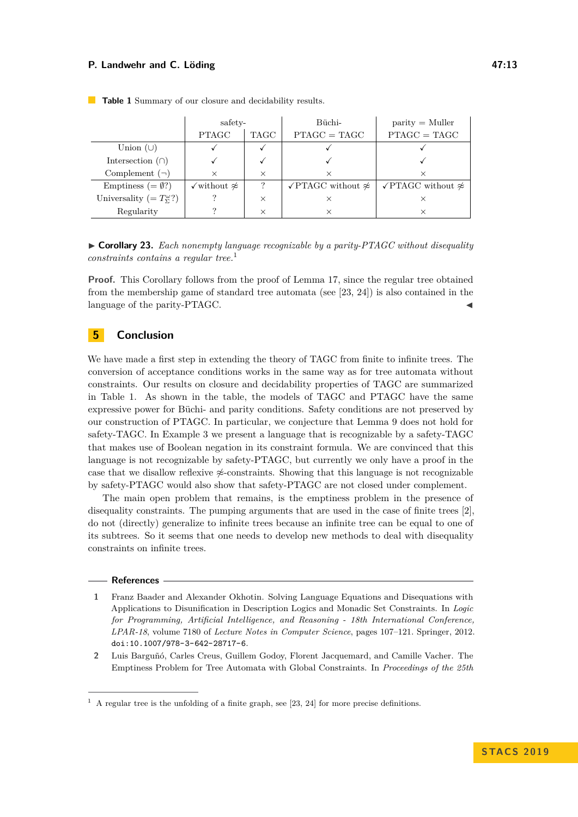|                                          | safety-                            |          | Büchi-                                  | $\text{parity} = \text{Muller}$         |
|------------------------------------------|------------------------------------|----------|-----------------------------------------|-----------------------------------------|
|                                          | <b>PTAGC</b>                       | TAGC     | $PTAGC = TAGC$                          | $PTAGC = TAGC$                          |
| Union $(\cup)$                           |                                    |          |                                         |                                         |
| Intersection $(\cap)$                    |                                    |          |                                         |                                         |
| Complement $(\neg)$                      | $\times$                           | $\times$ | $\times$                                |                                         |
| Emptiness $(=\emptyset$ ?)               | $\checkmark$ without $\not\approx$ | ?        | $\sqrt{\text{PTAGC}}$ without $\approx$ | $\sqrt{\text{PTAGC}}$ without $\approx$ |
| Universality (= $T_{\Sigma}^{\omega}$ ?) |                                    | $\times$ |                                         |                                         |
| Regularity                               |                                    | $\times$ |                                         |                                         |

<span id="page-12-5"></span>**Table 1** Summary of our closure and decidability results.

<span id="page-12-3"></span>► **Corollary 23.** *Each nonempty language recognizable by a parity-PTAGC without disequality constraints contains a regular tree.*[1](#page-12-4)

Proof. This Corollary follows from the proof of Lemma [17,](#page-7-1) since the regular tree obtained from the membership game of standard tree automata (see [\[23,](#page-14-1) [24\]](#page-14-8)) is also contained in the language of the parity-PTAGC.

## <span id="page-12-2"></span>**5 Conclusion**

We have made a first step in extending the theory of TAGC from finite to infinite trees. The conversion of acceptance conditions works in the same way as for tree automata without constraints. Our results on closure and decidability properties of TAGC are summarized in Table [1.](#page-12-5) As shown in the table, the models of TAGC and PTAGC have the same expressive power for Büchi- and parity conditions. Safety conditions are not preserved by our construction of PTAGC. In particular, we conjecture that Lemma [9](#page-5-1) does not hold for safety-TAGC. In Example [3](#page-3-1) we present a language that is recognizable by a safety-TAGC that makes use of Boolean negation in its constraint formula. We are convinced that this language is not recognizable by safety-PTAGC, but currently we only have a proof in the case that we disallow reflexive  $\frac{\alpha}{2}$ -constraints. Showing that this language is not recognizable by safety-PTAGC would also show that safety-PTAGC are not closed under complement.

The main open problem that remains, is the emptiness problem in the presence of disequality constraints. The pumping arguments that are used in the case of finite trees [\[2\]](#page-12-0), do not (directly) generalize to infinite trees because an infinite tree can be equal to one of its subtrees. So it seems that one needs to develop new methods to deal with disequality constraints on infinite trees.

#### **References**

- <span id="page-12-1"></span>**1** Franz Baader and Alexander Okhotin. Solving Language Equations and Disequations with Applications to Disunification in Description Logics and Monadic Set Constraints. In *Logic for Programming, Artificial Intelligence, and Reasoning - 18th International Conference, LPAR-18*, volume 7180 of *Lecture Notes in Computer Science*, pages 107–121. Springer, 2012. [doi:10.1007/978-3-642-28717-6](http://dx.doi.org/10.1007/978-3-642-28717-6).
- <span id="page-12-0"></span>**2** Luis Barguñó, Carles Creus, Guillem Godoy, Florent Jacquemard, and Camille Vacher. The Emptiness Problem for Tree Automata with Global Constraints. In *Proceedings of the 25th*

<span id="page-12-4"></span> $<sup>1</sup>$  A regular tree is the unfolding of a finite graph, see [\[23,](#page-14-1) [24\]](#page-14-8) for more precise definitions.</sup>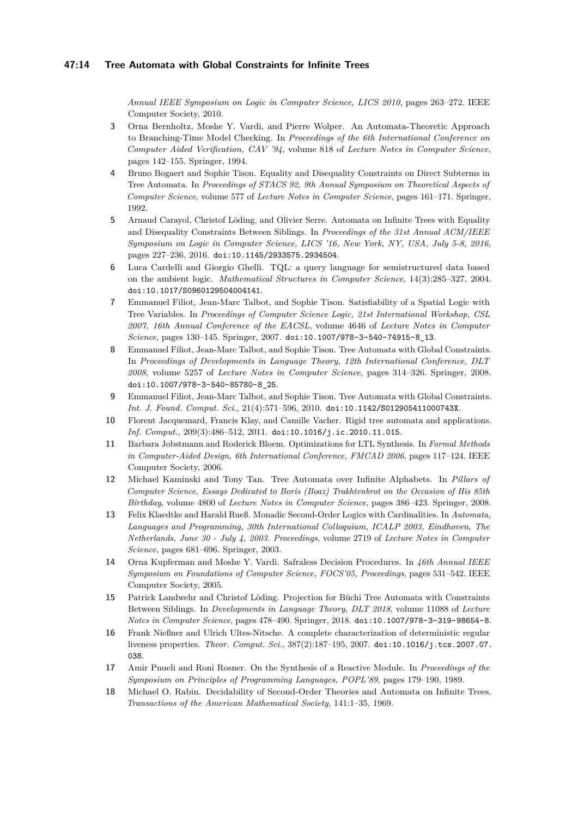*Annual IEEE Symposium on Logic in Computer Science, LICS 2010*, pages 263–272. IEEE Computer Society, 2010.

- <span id="page-13-5"></span>**3** Orna Bernholtz, Moshe Y. Vardi, and Pierre Wolper. An Automata-Theoretic Approach to Branching-Time Model Checking. In *Proceedings of the 6th International Conference on Computer Aided Verification, CAV '94*, volume 818 of *Lecture Notes in Computer Science*, pages 142–155. Springer, 1994.
- <span id="page-13-8"></span>**4** Bruno Bogaert and Sophie Tison. Equality and Disequality Constraints on Direct Subterms in Tree Automata. In *Proceedings of STACS 92, 9th Annual Symposium on Theoretical Aspects of Computer Science*, volume 577 of *Lecture Notes in Computer Science*, pages 161–171. Springer, 1992.
- <span id="page-13-12"></span>**5** Arnaud Carayol, Christof Löding, and Olivier Serre. Automata on Infinite Trees with Equality and Disequality Constraints Between Siblings. In *Proceedings of the 31st Annual ACM/IEEE Symposium on Logic in Computer Science, LICS '16, New York, NY, USA, July 5-8, 2016*, pages 227–236, 2016. [doi:10.1145/2933575.2934504](http://dx.doi.org/10.1145/2933575.2934504).
- <span id="page-13-1"></span>**6** Luca Cardelli and Giorgio Ghelli. TQL: a query language for semistructured data based on the ambient logic. *Mathematical Structures in Computer Science*, 14(3):285–327, 2004. [doi:10.1017/S0960129504004141](http://dx.doi.org/10.1017/S0960129504004141).
- <span id="page-13-0"></span>**7** Emmanuel Filiot, Jean-Marc Talbot, and Sophie Tison. Satisfiability of a Spatial Logic with Tree Variables. In *Proceedings of Computer Science Logic, 21st International Workshop, CSL 2007, 16th Annual Conference of the EACSL*, volume 4646 of *Lecture Notes in Computer Science*, pages 130–145. Springer, 2007. [doi:10.1007/978-3-540-74915-8\\_13](http://dx.doi.org/10.1007/978-3-540-74915-8_13).
- <span id="page-13-2"></span>**8** Emmanuel Filiot, Jean-Marc Talbot, and Sophie Tison. Tree Automata with Global Constraints. In *Proceedings of Developments in Language Theory, 12th International Conference, DLT 2008*, volume 5257 of *Lecture Notes in Computer Science*, pages 314–326. Springer, 2008. [doi:10.1007/978-3-540-85780-8\\_25](http://dx.doi.org/10.1007/978-3-540-85780-8_25).
- <span id="page-13-3"></span>**9** Emmanuel Filiot, Jean-Marc Talbot, and Sophie Tison. Tree Automata with Global Constraints. *Int. J. Found. Comput. Sci.*, 21(4):571–596, 2010. [doi:10.1142/S012905411000743X](http://dx.doi.org/10.1142/S012905411000743X).
- <span id="page-13-14"></span>**10** Florent Jacquemard, Francis Klay, and Camille Vacher. Rigid tree automata and applications. *Inf. Comput.*, 209(3):486–512, 2011. [doi:10.1016/j.ic.2010.11.015](http://dx.doi.org/10.1016/j.ic.2010.11.015).
- <span id="page-13-7"></span>**11** Barbara Jobstmann and Roderick Bloem. Optimizations for LTL Synthesis. In *Formal Methods in Computer-Aided Design, 6th International Conference, FMCAD 2006*, pages 117–124. IEEE Computer Society, 2006.
- <span id="page-13-9"></span>**12** Michael Kaminski and Tony Tan. Tree Automata over Infinite Alphabets. In *Pillars of Computer Science, Essays Dedicated to Boris (Boaz) Trakhtenbrot on the Occasion of His 85th Birthday*, volume 4800 of *Lecture Notes in Computer Science*, pages 386–423. Springer, 2008.
- <span id="page-13-10"></span>**13** Felix Klaedtke and Harald Rueß. Monadic Second-Order Logics with Cardinalities. In *Automata, Languages and Programming, 30th International Colloquium, ICALP 2003, Eindhoven, The Netherlands, June 30 - July 4, 2003. Proceedings*, volume 2719 of *Lecture Notes in Computer Science*, pages 681–696. Springer, 2003.
- <span id="page-13-6"></span>**14** Orna Kupferman and Moshe Y. Vardi. Safraless Decision Procedures. In *46th Annual IEEE Symposium on Foundations of Computer Science, FOCS'05, Proceedings*, pages 531–542. IEEE Computer Society, 2005.
- <span id="page-13-13"></span>**15** Patrick Landwehr and Christof Löding. Projection for Büchi Tree Automata with Constraints Between Siblings. In *Developments in Language Theory, DLT 2018*, volume 11088 of *Lecture Notes in Computer Science*, pages 478–490. Springer, 2018. [doi:10.1007/978-3-319-98654-8](http://dx.doi.org/10.1007/978-3-319-98654-8).
- <span id="page-13-15"></span>**16** Frank Nießner and Ulrich Ultes-Nitsche. A complete characterization of deterministic regular liveness properties. *Theor. Comput. Sci.*, 387(2):187–195, 2007. [doi:10.1016/j.tcs.2007.07.](http://dx.doi.org/10.1016/j.tcs.2007.07.038) [038](http://dx.doi.org/10.1016/j.tcs.2007.07.038).
- <span id="page-13-11"></span>**17** Amir Pnueli and Roni Rosner. On the Synthesis of a Reactive Module. In *Proceedings of the Symposium on Principles of Programming Languages, POPL'89*, pages 179–190, 1989.
- <span id="page-13-4"></span>**18** Michael O. Rabin. Decidability of Second-Order Theories and Automata on Infinite Trees. *Transactions of the American Mathematical Society*, 141:1–35, 1969.